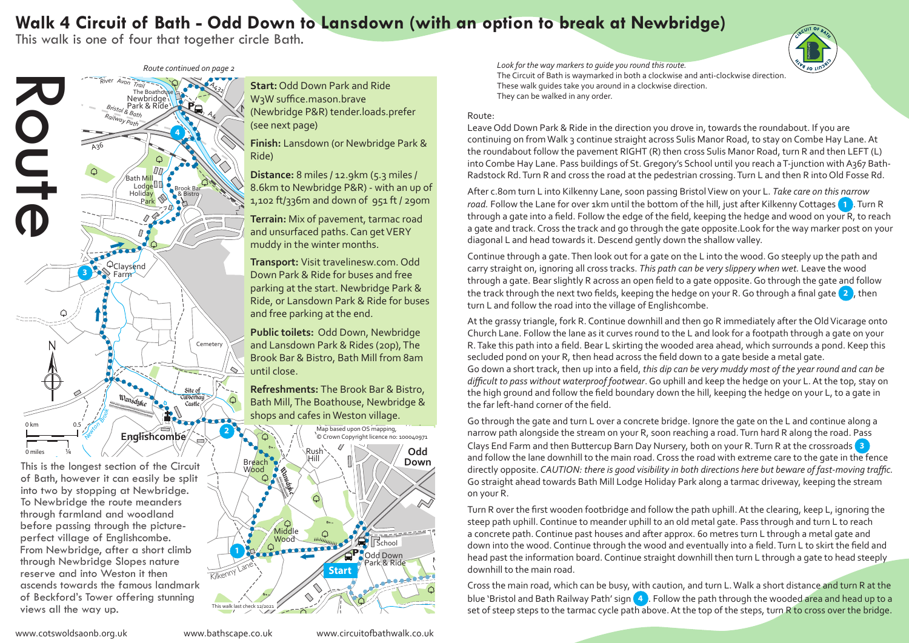## Walk 4 Circuit of Bath - Odd Down to Lansdown (with an option to break at Newbridge)

This walk is one of four that together circle Bath.

School *Route continued on page 2*



This is the longest section of the Circuit of Bath, however it can easily be split into two by stopping at Newbridge. To Newbridge the route meanders through farmland and woodland before passing through the pictureperfect village of Englishcombe. From Newbridge, after a short climb through Newbridge Slopes nature reserve and into Weston it then ascends towards the famous landmark of Beckford's Tower offering stunning views all the way up.

Newbridge (Newbridge P&R) tender.loads.prefer (see next page) **Start:** Odd Down Park and Ride W3W suffice.mason.brave

**Finish:** Lansdown (or Newbridge Park & Ride)

**Distance:** 8 miles / 12.9km (5.3 miles / 8.6km to Newbridge P&R) - with an up of 1,102 ft/336m and down of 951 ft / 290m

**Terrain:** Mix of pavement, tarmac road and unsurfaced paths. Can get VERY muddy in the winter months.

**Transport:** Visit travelinesw.com. Odd Down Park & Ride for buses and free parking at the start. Newbridge Park & Ride, or Lansdown Park & Ride for buses and free parking at the end.

Brook Bar & Bistro, Bath Mill from 8am until close. **Public toilets:** Odd Down, Newbridge and Lansdown Park & Rides (20p), The

**Refreshments:** The Brook Bar & Bistro, Bath Mill, The Boathouse, Newbridge & shops and cafes in Weston village.



*Look for the way markers to guide you round this route.*  The Circuit of Bath is waymarked in both a clockwise and anti-clockwise direction. These walk guides take you around in a clockwise direction. They can be walked in any order.  $\begin{pmatrix} 1 \\ 2 \end{pmatrix}$ **Baching Bathaway** 

## Route:

Radstock Rd. Turn R and cross the road at the pedestrian crossing. Turn L and then R into Old Fosse Rd. into Combe Hay Lane. Pass buildings of St. Gregory's School until you reach a T-junction with A367 Bath-*River Avon* Leave Odd Down Park & Ride in the direction you drove in, towards the roundabout. If you are continuing on from Walk 3 continue straight across Sulis Manor Road, to stay on Combe Hay Lane. At the roundabout follow the pavement RIGHT (R) then cross Sulis Manor Road, turn R and then LEFT (L)

 $R_{\rm eq}$ 

road. Follow the Lane for over 1km until the bottom of the hill, just after Kilkenny Cottages **1** . Turn R *<sup>K</sup><sup>e</sup>nne<sup>t</sup> & <sup>A</sup>vo<sup>n</sup> <sup>C</sup>ana<sup>l</sup>* After c.80m turn L into Kilkenny Lane, soon passing Bristol View on your L. *Take care on this narrow*  through a gate into a field. Follow the edge of the field, keeping the hedge and wood on your R, to reach a gate and track. Cross the track and go through the gate opposite.Look for the way marker post on your diagonal L and head towards it. Descend gently down the shallow valley.

Continue through a gate. Then look out for a gate on the L into the wood. Go steeply up the path and through a gate. Bear slightly R across an open field to a gate opposite. Go through the gate and follow the track through the next two fields, keeping the hedge on your R. Go through a final gate **2** , then carry straight on, ignoring all cross tracks. *This path can be very slippery when wet.* Leave the wood turn L and follow the road into the village of Englishcombe.

Go down a short track, then up into a field, *this dip can be very muddy most of the year round and can be* difficult to pass without waterproof footwear. Go uphill and keep the hedge on your L. At the top, stay on At the grassy triangle, fork R. Continue downhill and then go R immediately after the Old Vicarage onto Church Lane. Follow the lane as it curves round to the L and look for a footpath through a gate on your R. Take this path into a field. Bear L skirting the wooded area ahead, which surrounds a pond. Keep this secluded pond on your R, then head across the field down to a gate beside a metal gate. the high ground and follow the field boundary down the hill, keeping the hedge on your L, to a gate in the far left-hand corner of the field.

Brassknocker Dundas Basin narrow path alongside the stream on your R, soon reaching a road. Turn hard R along the road. Pass School Clays End Farm and then Buttercup Barn Day Nursery, both on your R. Turn R at the crossroads **3** Go straight ahead towards Bath Mill Lodge Holiday Park along a tarmac driveway, keeping the stream Go through the gate and turn L over a concrete bridge. Ignore the gate on the L and continue along a and follow the lane downhill to the main road. Cross the road with extreme care to the gate in the fence directly opposite. *CAUTION: there is good visibility in both directions here but beware of fast-moving traffic.*  on your R.

**P** Combe Combe Down *<sup>D</sup>ismantle<sup>d</sup> <sup>R</sup>ailw<sup>a</sup><sup>y</sup>* Turn R over the first wooden footbridge and follow the path uphill. At the clearing, keep L, ignoring the a concrete path. Continue past houses and after approx. 60 metres turn L through a metal gate and a concrete path. Continue past houses and after approx. 60 metres turn L through a metal gate and<br>School down into the wood. Continue through the wood and eventually into a field. Turn L to skirt the field and<br>d Down down steep path uphill. Continue to meander uphill to an old metal gate. Pass through and turn L to reach down like the wood. Continue through the wood and eventually like a neid. Ton't to simit the held and<br>head past the information board. Continue straight downhill then turn L through a gate to head steeply downhill to the main road.

> Cross the main road, which can be busy, with caution, and turn L. Walk a short distance and turn R at the n ana L<br>Distansi set of steep steps to the tarmac cycle path above. At the top of the steps, turn R to cross over the bridge.<br> blue 'Bristol and Bath Railway Path' sign (4). Follow the path through the wooded area and head up to a<br>set of steep steps to the tarmac cycle path above. At the top of the steps, turn R to cross over the bridge.<br>Not set o

Cleeve